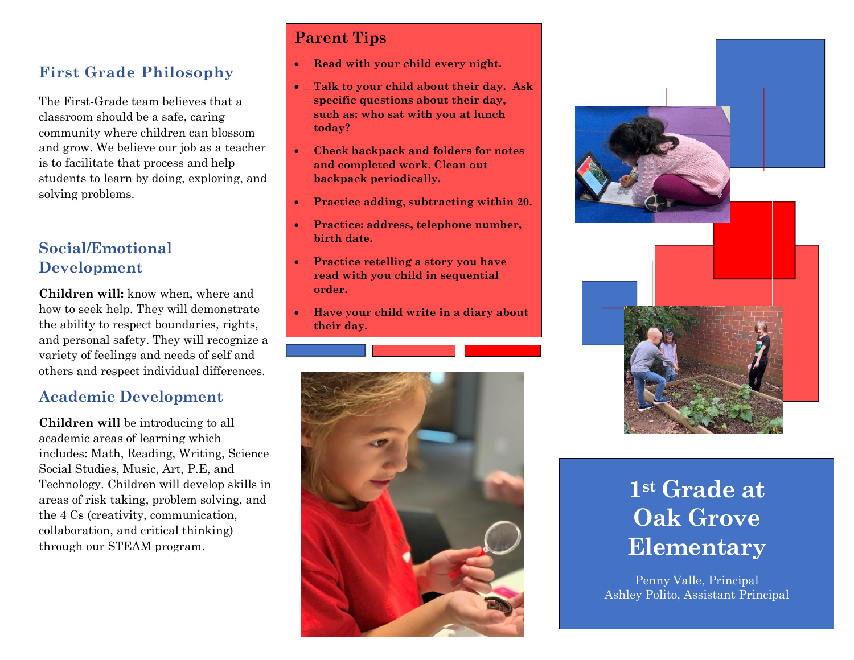## **First Grade Philosophy**

The First-Grade team believes that a classroom should be a safe, caring community where children can blossom and grow. We believe our job as a teacher is to facilitate that process and help students to learn by doing, exploring, and solving problems.

### **Social/Emotional Development**

**Children will:** know when, where and how to seek help. They will demonstrate the ability to respect boundaries, rights, and personal safety. They will recognize a variety of feelings and needs of self and others and respect individual differences.

### **Academic Development**

**Children will** be introducing to all academic areas of learning which includes: Math, Reading, Writing, Science Social Studies, Music, Art, P.E, and Technology. Children will develop skills in areas of risk taking, problem solving, and the 4 Cs (creativity, communication, collaboration, and critical thinking) through our STEAM program.

## **Parent Tips**

- **Read with your child every night.**
- **Talk to your child about their day. Ask specific questions about their day, such as: who sat with you at lunch today?**
- **Check backpack and folders for notes and completed work. Clean out backpack periodically.**
- **Practice adding, subtracting within 20.**
- **Practice: address, telephone number, birth date.**
- **Practice retelling a story you have read with you child in sequential order.**
- **Have your child write in a diary about their day.**





# **1st Grade at Oak Grove Elementary**

Penny Valle, Principal Ashley Polito, Assistant Principal